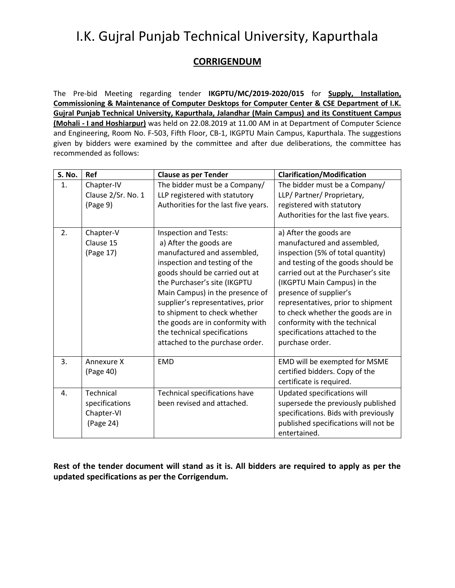# I.K. Gujral Punjab Technical University, Kapurthala

## **CORRIGENDUM**

The Pre-bid Meeting regarding tender **IKGPTU/MC/2019-2020/015** for **Supply, Installation, Commissioning & Maintenance of Computer Desktops for Computer Center & CSE Department of I.K. Gujral Punjab Technical University, Kapurthala, Jalandhar (Main Campus) and its Constituent Campus (Mohali - I and Hoshiarpur)** was held on 22.08.2019 at 11.00 AM in at Department of Computer Science and Engineering, Room No. F-503, Fifth Floor, CB-1, IKGPTU Main Campus, Kapurthala. The suggestions given by bidders were examined by the committee and after due deliberations, the committee has recommended as follows:

| <b>S. No.</b> | <b>Ref</b>                                             | <b>Clause as per Tender</b>                                                                                                                                                                                                                                                                                                                                                                             | <b>Clarification/Modification</b>                                                                                                                                                                                                                                                                                                                                                                 |
|---------------|--------------------------------------------------------|---------------------------------------------------------------------------------------------------------------------------------------------------------------------------------------------------------------------------------------------------------------------------------------------------------------------------------------------------------------------------------------------------------|---------------------------------------------------------------------------------------------------------------------------------------------------------------------------------------------------------------------------------------------------------------------------------------------------------------------------------------------------------------------------------------------------|
| 1.            | Chapter-IV<br>Clause 2/Sr. No. 1<br>(Page 9)           | The bidder must be a Company/<br>LLP registered with statutory<br>Authorities for the last five years.                                                                                                                                                                                                                                                                                                  | The bidder must be a Company/<br>LLP/ Partner/ Proprietary,<br>registered with statutory<br>Authorities for the last five years.                                                                                                                                                                                                                                                                  |
| 2.            | Chapter-V<br>Clause 15<br>(Page 17)                    | <b>Inspection and Tests:</b><br>a) After the goods are<br>manufactured and assembled,<br>inspection and testing of the<br>goods should be carried out at<br>the Purchaser's site (IKGPTU<br>Main Campus) in the presence of<br>supplier's representatives, prior<br>to shipment to check whether<br>the goods are in conformity with<br>the technical specifications<br>attached to the purchase order. | a) After the goods are<br>manufactured and assembled,<br>inspection (5% of total quantity)<br>and testing of the goods should be<br>carried out at the Purchaser's site<br>(IKGPTU Main Campus) in the<br>presence of supplier's<br>representatives, prior to shipment<br>to check whether the goods are in<br>conformity with the technical<br>specifications attached to the<br>purchase order. |
| 3.            | Annexure X<br>(Page 40)                                | <b>EMD</b>                                                                                                                                                                                                                                                                                                                                                                                              | EMD will be exempted for MSME<br>certified bidders. Copy of the<br>certificate is required.                                                                                                                                                                                                                                                                                                       |
| 4.            | Technical<br>specifications<br>Chapter-VI<br>(Page 24) | Technical specifications have<br>been revised and attached.                                                                                                                                                                                                                                                                                                                                             | Updated specifications will<br>supersede the previously published<br>specifications. Bids with previously<br>published specifications will not be<br>entertained.                                                                                                                                                                                                                                 |

**Rest of the tender document will stand as it is. All bidders are required to apply as per the updated specifications as per the Corrigendum.**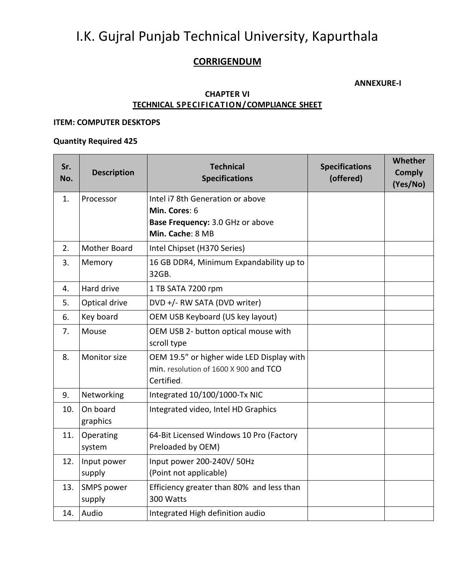# I.K. Gujral Punjab Technical University, Kapurthala

### **CORRIGENDUM**

**ANNEXURE-I**

### **CHAPTER VI TECHNICAL SPECIFICATION/COMPLIANCE SHEET**

#### **ITEM: COMPUTER DESKTOPS**

### **Quantity Required 425**

| Sr.<br>No. | <b>Description</b>   | <b>Technical</b><br><b>Specifications</b>            | <b>Specifications</b><br>(offered) | Whether<br><b>Comply</b><br>(Yes/No) |
|------------|----------------------|------------------------------------------------------|------------------------------------|--------------------------------------|
| 1.         | Processor            | Intel i7 8th Generation or above                     |                                    |                                      |
|            |                      | Min. Cores: 6                                        |                                    |                                      |
|            |                      | Base Frequency: 3.0 GHz or above<br>Min. Cache: 8 MB |                                    |                                      |
| 2.         | Mother Board         | Intel Chipset (H370 Series)                          |                                    |                                      |
| 3.         | Memory               | 16 GB DDR4, Minimum Expandability up to<br>32GB.     |                                    |                                      |
| 4.         | Hard drive           | 1 TB SATA 7200 rpm                                   |                                    |                                      |
| 5.         | Optical drive        | DVD +/- RW SATA (DVD writer)                         |                                    |                                      |
| 6.         | Key board            | OEM USB Keyboard (US key layout)                     |                                    |                                      |
| 7.         | Mouse                | OEM USB 2- button optical mouse with                 |                                    |                                      |
|            |                      | scroll type                                          |                                    |                                      |
| 8.         | Monitor size         | OEM 19.5" or higher wide LED Display with            |                                    |                                      |
|            |                      | min. resolution of 1600 X 900 and TCO<br>Certified.  |                                    |                                      |
| 9.         | Networking           | Integrated 10/100/1000-Tx NIC                        |                                    |                                      |
| 10.        | On board<br>graphics | Integrated video, Intel HD Graphics                  |                                    |                                      |
| 11.        | Operating            | 64-Bit Licensed Windows 10 Pro (Factory              |                                    |                                      |
|            | system               | Preloaded by OEM)                                    |                                    |                                      |
| 12.        | Input power          | Input power 200-240V/50Hz                            |                                    |                                      |
|            | supply               | (Point not applicable)                               |                                    |                                      |
| 13.        | SMPS power           | Efficiency greater than 80% and less than            |                                    |                                      |
|            | supply               | 300 Watts                                            |                                    |                                      |
| 14.        | Audio                | Integrated High definition audio                     |                                    |                                      |